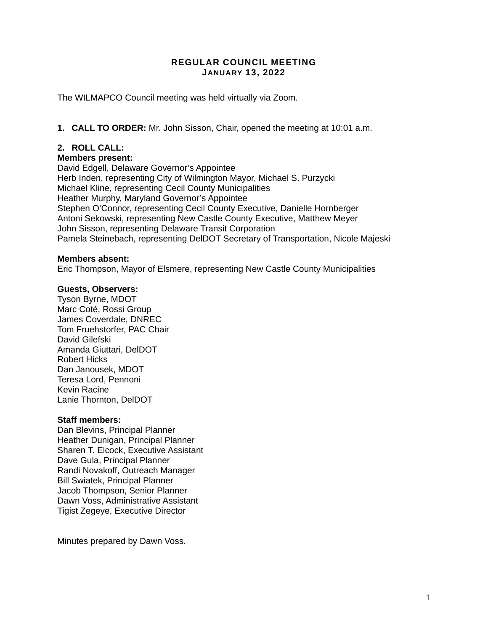### **REGULAR COUNCIL MEETING JANUARY 13, 2022**

The WILMAPCO Council meeting was held virtually via Zoom.

**1. CALL TO ORDER:** Mr. John Sisson, Chair, opened the meeting at 10:01 a.m.

# **2. ROLL CALL:**

### **Members present:**

David Edgell, Delaware Governor's Appointee Herb Inden, representing City of Wilmington Mayor, Michael S. Purzycki Michael Kline, representing Cecil County Municipalities Heather Murphy, Maryland Governor's Appointee Stephen O'Connor, representing Cecil County Executive, Danielle Hornberger Antoni Sekowski, representing New Castle County Executive, Matthew Meyer John Sisson, representing Delaware Transit Corporation Pamela Steinebach, representing DelDOT Secretary of Transportation, Nicole Majeski

### **Members absent:**

Eric Thompson, Mayor of Elsmere, representing New Castle County Municipalities

### **Guests, Observers:**

Tyson Byrne, MDOT Marc Coté, Rossi Group James Coverdale, DNREC Tom Fruehstorfer, PAC Chair David Gilefski Amanda Giuttari, DelDOT Robert Hicks Dan Janousek, MDOT Teresa Lord, Pennoni Kevin Racine Lanie Thornton, DelDOT

### **Staff members:**

Dan Blevins, Principal Planner Heather Dunigan, Principal Planner Sharen T. Elcock, Executive Assistant Dave Gula, Principal Planner Randi Novakoff, Outreach Manager Bill Swiatek, Principal Planner Jacob Thompson, Senior Planner Dawn Voss, Administrative Assistant Tigist Zegeye, Executive Director

Minutes prepared by Dawn Voss.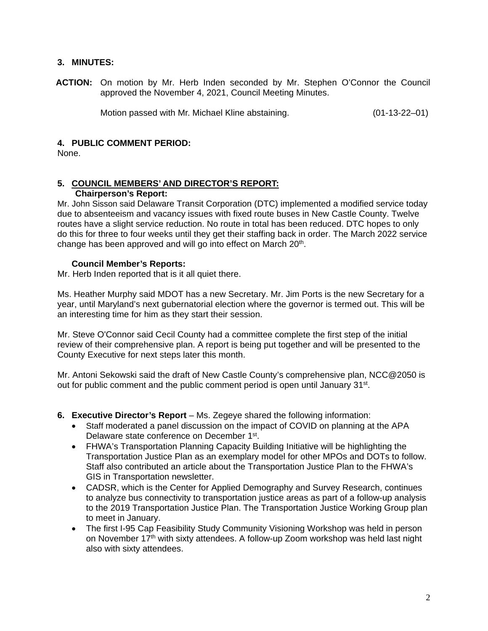# **3. MINUTES:**

**ACTION:** On motion by Mr. Herb Inden seconded by Mr. Stephen O'Connor the Council approved the November 4, 2021, Council Meeting Minutes.

Motion passed with Mr. Michael Kline abstaining. (01-13-22–01)

# **4. PUBLIC COMMENT PERIOD:**

None.

#### **5. COUNCIL MEMBERS' AND DIRECTOR'S REPORT: Chairperson's Report:**

Mr. John Sisson said Delaware Transit Corporation (DTC) implemented a modified service today due to absenteeism and vacancy issues with fixed route buses in New Castle County. Twelve routes have a slight service reduction. No route in total has been reduced. DTC hopes to only do this for three to four weeks until they get their staffing back in order. The March 2022 service change has been approved and will go into effect on March 20<sup>th</sup>.

### **Council Member's Reports:**

Mr. Herb Inden reported that is it all quiet there.

Ms. Heather Murphy said MDOT has a new Secretary. Mr. Jim Ports is the new Secretary for a year, until Maryland's next gubernatorial election where the governor is termed out. This will be an interesting time for him as they start their session.

Mr. Steve O'Connor said Cecil County had a committee complete the first step of the initial review of their comprehensive plan. A report is being put together and will be presented to the County Executive for next steps later this month.

Mr. Antoni Sekowski said the draft of New Castle County's comprehensive plan, NCC@2050 is out for public comment and the public comment period is open until January 31<sup>st</sup>.

- **6. Executive Director's Report** Ms. Zegeye shared the following information:
	- Staff moderated a panel discussion on the impact of COVID on planning at the APA Delaware state conference on December 1st.
	- FHWA's Transportation Planning Capacity Building Initiative will be highlighting the Transportation Justice Plan as an exemplary model for other MPOs and DOTs to follow. Staff also contributed an article about the Transportation Justice Plan to the FHWA's GIS in Transportation newsletter.
	- CADSR, which is the Center for Applied Demography and Survey Research, continues to analyze bus connectivity to transportation justice areas as part of a follow-up analysis to the 2019 Transportation Justice Plan. The Transportation Justice Working Group plan to meet in January.
	- The first I-95 Cap Feasibility Study Community Visioning Workshop was held in person on November 17th with sixty attendees. A follow-up Zoom workshop was held last night also with sixty attendees.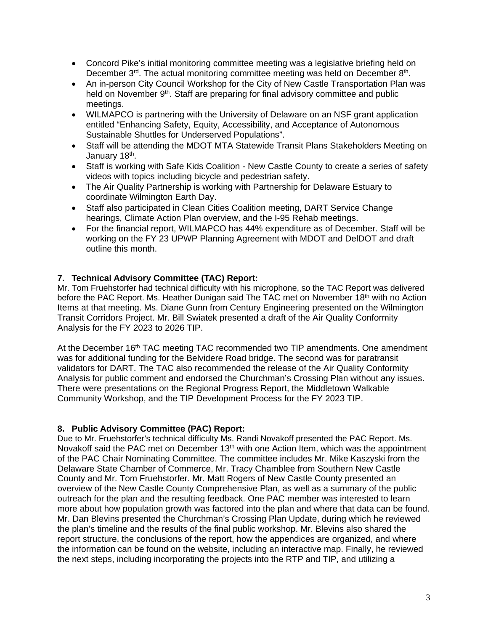- Concord Pike's initial monitoring committee meeting was a legislative briefing held on December 3rd. The actual monitoring committee meeting was held on December 8th.
- An in-person City Council Workshop for the City of New Castle Transportation Plan was held on November 9<sup>th</sup>. Staff are preparing for final advisory committee and public meetings.
- WILMAPCO is partnering with the University of Delaware on an NSF grant application entitled "Enhancing Safety, Equity, Accessibility, and Acceptance of Autonomous Sustainable Shuttles for Underserved Populations".
- Staff will be attending the MDOT MTA Statewide Transit Plans Stakeholders Meeting on January 18<sup>th</sup>.
- Staff is working with Safe Kids Coalition New Castle County to create a series of safety videos with topics including bicycle and pedestrian safety.
- The Air Quality Partnership is working with Partnership for Delaware Estuary to coordinate Wilmington Earth Day.
- Staff also participated in Clean Cities Coalition meeting, DART Service Change hearings, Climate Action Plan overview, and the I-95 Rehab meetings.
- For the financial report, WILMAPCO has 44% expenditure as of December. Staff will be working on the FY 23 UPWP Planning Agreement with MDOT and DelDOT and draft outline this month.

# **7. Technical Advisory Committee (TAC) Report:**

Mr. Tom Fruehstorfer had technical difficulty with his microphone, so the TAC Report was delivered before the PAC Report. Ms. Heather Dunigan said The TAC met on November 18<sup>th</sup> with no Action Items at that meeting. Ms. Diane Gunn from Century Engineering presented on the Wilmington Transit Corridors Project. Mr. Bill Swiatek presented a draft of the Air Quality Conformity Analysis for the FY 2023 to 2026 TIP.

At the December 16<sup>th</sup> TAC meeting TAC recommended two TIP amendments. One amendment was for additional funding for the Belvidere Road bridge. The second was for paratransit validators for DART. The TAC also recommended the release of the Air Quality Conformity Analysis for public comment and endorsed the Churchman's Crossing Plan without any issues. There were presentations on the Regional Progress Report, the Middletown Walkable Community Workshop, and the TIP Development Process for the FY 2023 TIP.

# **8. Public Advisory Committee (PAC) Report:**

Due to Mr. Fruehstorfer's technical difficulty Ms. Randi Novakoff presented the PAC Report. Ms. Novakoff said the PAC met on December 13<sup>th</sup> with one Action Item, which was the appointment of the PAC Chair Nominating Committee. The committee includes Mr. Mike Kaszyski from the Delaware State Chamber of Commerce, Mr. Tracy Chamblee from Southern New Castle County and Mr. Tom Fruehstorfer. Mr. Matt Rogers of New Castle County presented an overview of the New Castle County Comprehensive Plan, as well as a summary of the public outreach for the plan and the resulting feedback. One PAC member was interested to learn more about how population growth was factored into the plan and where that data can be found. Mr. Dan Blevins presented the Churchman's Crossing Plan Update, during which he reviewed the plan's timeline and the results of the final public workshop. Mr. Blevins also shared the report structure, the conclusions of the report, how the appendices are organized, and where the information can be found on the website, including an interactive map. Finally, he reviewed the next steps, including incorporating the projects into the RTP and TIP, and utilizing a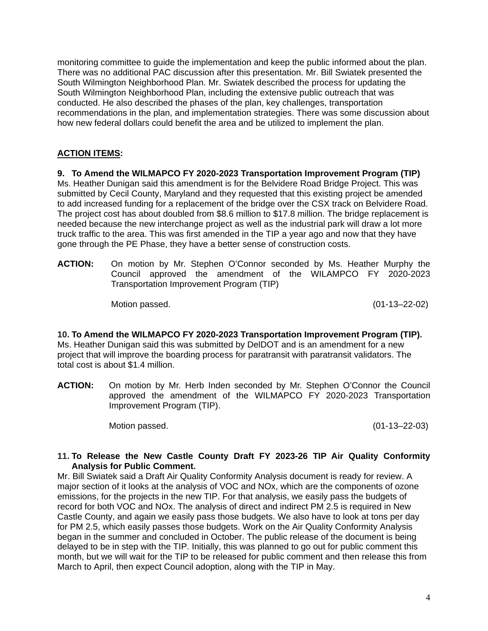monitoring committee to guide the implementation and keep the public informed about the plan. There was no additional PAC discussion after this presentation. Mr. Bill Swiatek presented the South Wilmington Neighborhood Plan. Mr. Swiatek described the process for updating the South Wilmington Neighborhood Plan, including the extensive public outreach that was conducted. He also described the phases of the plan, key challenges, transportation recommendations in the plan, and implementation strategies. There was some discussion about how new federal dollars could benefit the area and be utilized to implement the plan.

# **ACTION ITEMS:**

**9. To Amend the WILMAPCO FY 2020-2023 Transportation Improvement Program (TIP)**  Ms. Heather Dunigan said this amendment is for the Belvidere Road Bridge Project. This was submitted by Cecil County, Maryland and they requested that this existing project be amended to add increased funding for a replacement of the bridge over the CSX track on Belvidere Road. The project cost has about doubled from \$8.6 million to \$17.8 million. The bridge replacement is needed because the new interchange project as well as the industrial park will draw a lot more truck traffic to the area. This was first amended in the TIP a year ago and now that they have gone through the PE Phase, they have a better sense of construction costs.

**ACTION:** On motion by Mr. Stephen O'Connor seconded by Ms. Heather Murphy the Council approved the amendment of the WILAMPCO FY 2020-2023 Transportation Improvement Program (TIP)

Motion passed. (01-13–22-02)

**10. To Amend the WILMAPCO FY 2020-2023 Transportation Improvement Program (TIP).** Ms. Heather Dunigan said this was submitted by DelDOT and is an amendment for a new project that will improve the boarding process for paratransit with paratransit validators. The total cost is about \$1.4 million.

**ACTION:** On motion by Mr. Herb Inden seconded by Mr. Stephen O'Connor the Council approved the amendment of the WILMAPCO FY 2020-2023 Transportation Improvement Program (TIP).

Motion passed. (01-13–22-03)

# **11. To Release the New Castle County Draft FY 2023-26 TIP Air Quality Conformity Analysis for Public Comment.**

Mr. Bill Swiatek said a Draft Air Quality Conformity Analysis document is ready for review. A major section of it looks at the analysis of VOC and NOx, which are the components of ozone emissions, for the projects in the new TIP. For that analysis, we easily pass the budgets of record for both VOC and NOx. The analysis of direct and indirect PM 2.5 is required in New Castle County, and again we easily pass those budgets. We also have to look at tons per day for PM 2.5, which easily passes those budgets. Work on the Air Quality Conformity Analysis began in the summer and concluded in October. The public release of the document is being delayed to be in step with the TIP. Initially, this was planned to go out for public comment this month, but we will wait for the TIP to be released for public comment and then release this from March to April, then expect Council adoption, along with the TIP in May.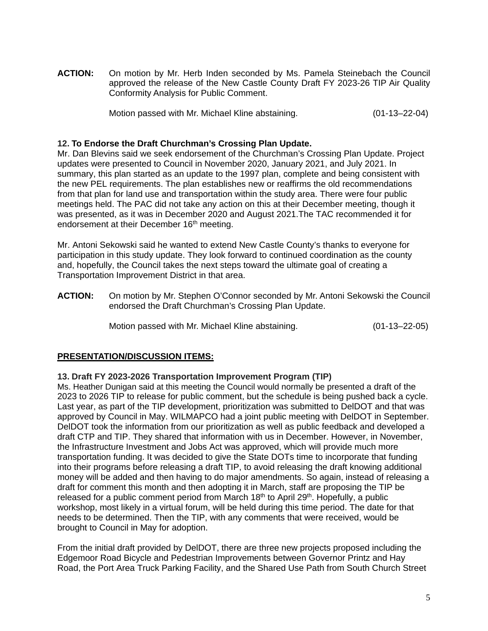**ACTION:** On motion by Mr. Herb Inden seconded by Ms. Pamela Steinebach the Council approved the release of the New Castle County Draft FY 2023-26 TIP Air Quality Conformity Analysis for Public Comment.

Motion passed with Mr. Michael Kline abstaining. (01-13–22-04)

### **12. To Endorse the Draft Churchman's Crossing Plan Update.**

Mr. Dan Blevins said we seek endorsement of the Churchman's Crossing Plan Update. Project updates were presented to Council in November 2020, January 2021, and July 2021. In summary, this plan started as an update to the 1997 plan, complete and being consistent with the new PEL requirements. The plan establishes new or reaffirms the old recommendations from that plan for land use and transportation within the study area. There were four public meetings held. The PAC did not take any action on this at their December meeting, though it was presented, as it was in December 2020 and August 2021.The TAC recommended it for endorsement at their December 16<sup>th</sup> meeting.

Mr. Antoni Sekowski said he wanted to extend New Castle County's thanks to everyone for participation in this study update. They look forward to continued coordination as the county and, hopefully, the Council takes the next steps toward the ultimate goal of creating a Transportation Improvement District in that area.

**ACTION:** On motion by Mr. Stephen O'Connor seconded by Mr. Antoni Sekowski the Council endorsed the Draft Churchman's Crossing Plan Update.

Motion passed with Mr. Michael Kline abstaining. (01-13–22-05)

### **PRESENTATION/DISCUSSION ITEMS:**

### **13. Draft FY 2023-2026 Transportation Improvement Program (TIP)**

Ms. Heather Dunigan said at this meeting the Council would normally be presented a draft of the 2023 to 2026 TIP to release for public comment, but the schedule is being pushed back a cycle. Last year, as part of the TIP development, prioritization was submitted to DelDOT and that was approved by Council in May. WILMAPCO had a joint public meeting with DelDOT in September. DelDOT took the information from our prioritization as well as public feedback and developed a draft CTP and TIP. They shared that information with us in December. However, in November, the Infrastructure Investment and Jobs Act was approved, which will provide much more transportation funding. It was decided to give the State DOTs time to incorporate that funding into their programs before releasing a draft TIP, to avoid releasing the draft knowing additional money will be added and then having to do major amendments. So again, instead of releasing a draft for comment this month and then adopting it in March, staff are proposing the TIP be released for a public comment period from March 18<sup>th</sup> to April 29<sup>th</sup>. Hopefully, a public workshop, most likely in a virtual forum, will be held during this time period. The date for that needs to be determined. Then the TIP, with any comments that were received, would be brought to Council in May for adoption.

From the initial draft provided by DelDOT, there are three new projects proposed including the Edgemoor Road Bicycle and Pedestrian Improvements between Governor Printz and Hay Road, the Port Area Truck Parking Facility, and the Shared Use Path from South Church Street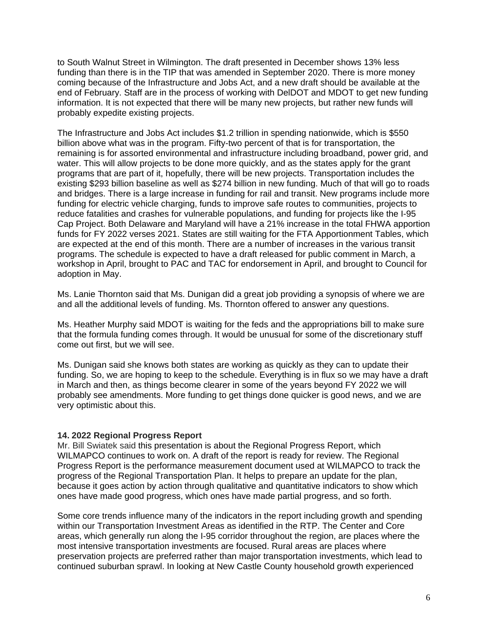to South Walnut Street in Wilmington. The draft presented in December shows 13% less funding than there is in the TIP that was amended in September 2020. There is more money coming because of the Infrastructure and Jobs Act, and a new draft should be available at the end of February. Staff are in the process of working with DelDOT and MDOT to get new funding information. It is not expected that there will be many new projects, but rather new funds will probably expedite existing projects.

The Infrastructure and Jobs Act includes \$1.2 trillion in spending nationwide, which is \$550 billion above what was in the program. Fifty-two percent of that is for transportation, the remaining is for assorted environmental and infrastructure including broadband, power grid, and water. This will allow projects to be done more quickly, and as the states apply for the grant programs that are part of it, hopefully, there will be new projects. Transportation includes the existing \$293 billion baseline as well as \$274 billion in new funding. Much of that will go to roads and bridges. There is a large increase in funding for rail and transit. New programs include more funding for electric vehicle charging, funds to improve safe routes to communities, projects to reduce fatalities and crashes for vulnerable populations, and funding for projects like the I-95 Cap Project. Both Delaware and Maryland will have a 21% increase in the total FHWA apportion funds for FY 2022 verses 2021. States are still waiting for the FTA Apportionment Tables, which are expected at the end of this month. There are a number of increases in the various transit programs. The schedule is expected to have a draft released for public comment in March, a workshop in April, brought to PAC and TAC for endorsement in April, and brought to Council for adoption in May.

Ms. Lanie Thornton said that Ms. Dunigan did a great job providing a synopsis of where we are and all the additional levels of funding. Ms. Thornton offered to answer any questions.

Ms. Heather Murphy said MDOT is waiting for the feds and the appropriations bill to make sure that the formula funding comes through. It would be unusual for some of the discretionary stuff come out first, but we will see.

Ms. Dunigan said she knows both states are working as quickly as they can to update their funding. So, we are hoping to keep to the schedule. Everything is in flux so we may have a draft in March and then, as things become clearer in some of the years beyond FY 2022 we will probably see amendments. More funding to get things done quicker is good news, and we are very optimistic about this.

### **14. 2022 Regional Progress Report**

Mr. Bill Swiatek said this presentation is about the Regional Progress Report, which WILMAPCO continues to work on. A draft of the report is ready for review. The Regional Progress Report is the performance measurement document used at WILMAPCO to track the progress of the Regional Transportation Plan. It helps to prepare an update for the plan, because it goes action by action through qualitative and quantitative indicators to show which ones have made good progress, which ones have made partial progress, and so forth.

Some core trends influence many of the indicators in the report including growth and spending within our Transportation Investment Areas as identified in the RTP. The Center and Core areas, which generally run along the I-95 corridor throughout the region, are places where the most intensive transportation investments are focused. Rural areas are places where preservation projects are preferred rather than major transportation investments, which lead to continued suburban sprawl. In looking at New Castle County household growth experienced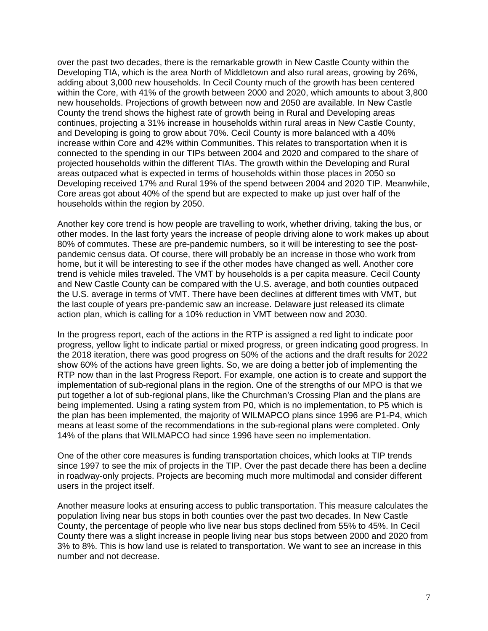over the past two decades, there is the remarkable growth in New Castle County within the Developing TIA, which is the area North of Middletown and also rural areas, growing by 26%, adding about 3,000 new households. In Cecil County much of the growth has been centered within the Core, with 41% of the growth between 2000 and 2020, which amounts to about 3,800 new households. Projections of growth between now and 2050 are available. In New Castle County the trend shows the highest rate of growth being in Rural and Developing areas continues, projecting a 31% increase in households within rural areas in New Castle County, and Developing is going to grow about 70%. Cecil County is more balanced with a 40% increase within Core and 42% within Communities. This relates to transportation when it is connected to the spending in our TIPs between 2004 and 2020 and compared to the share of projected households within the different TIAs. The growth within the Developing and Rural areas outpaced what is expected in terms of households within those places in 2050 so Developing received 17% and Rural 19% of the spend between 2004 and 2020 TIP. Meanwhile, Core areas got about 40% of the spend but are expected to make up just over half of the households within the region by 2050.

Another key core trend is how people are travelling to work, whether driving, taking the bus, or other modes. In the last forty years the increase of people driving alone to work makes up about 80% of commutes. These are pre-pandemic numbers, so it will be interesting to see the postpandemic census data. Of course, there will probably be an increase in those who work from home, but it will be interesting to see if the other modes have changed as well. Another core trend is vehicle miles traveled. The VMT by households is a per capita measure. Cecil County and New Castle County can be compared with the U.S. average, and both counties outpaced the U.S. average in terms of VMT. There have been declines at different times with VMT, but the last couple of years pre-pandemic saw an increase. Delaware just released its climate action plan, which is calling for a 10% reduction in VMT between now and 2030.

In the progress report, each of the actions in the RTP is assigned a red light to indicate poor progress, yellow light to indicate partial or mixed progress, or green indicating good progress. In the 2018 iteration, there was good progress on 50% of the actions and the draft results for 2022 show 60% of the actions have green lights. So, we are doing a better job of implementing the RTP now than in the last Progress Report. For example, one action is to create and support the implementation of sub-regional plans in the region. One of the strengths of our MPO is that we put together a lot of sub-regional plans, like the Churchman's Crossing Plan and the plans are being implemented. Using a rating system from P0, which is no implementation, to P5 which is the plan has been implemented, the majority of WILMAPCO plans since 1996 are P1-P4, which means at least some of the recommendations in the sub-regional plans were completed. Only 14% of the plans that WILMAPCO had since 1996 have seen no implementation.

One of the other core measures is funding transportation choices, which looks at TIP trends since 1997 to see the mix of projects in the TIP. Over the past decade there has been a decline in roadway-only projects. Projects are becoming much more multimodal and consider different users in the project itself.

Another measure looks at ensuring access to public transportation. This measure calculates the population living near bus stops in both counties over the past two decades. In New Castle County, the percentage of people who live near bus stops declined from 55% to 45%. In Cecil County there was a slight increase in people living near bus stops between 2000 and 2020 from 3% to 8%. This is how land use is related to transportation. We want to see an increase in this number and not decrease.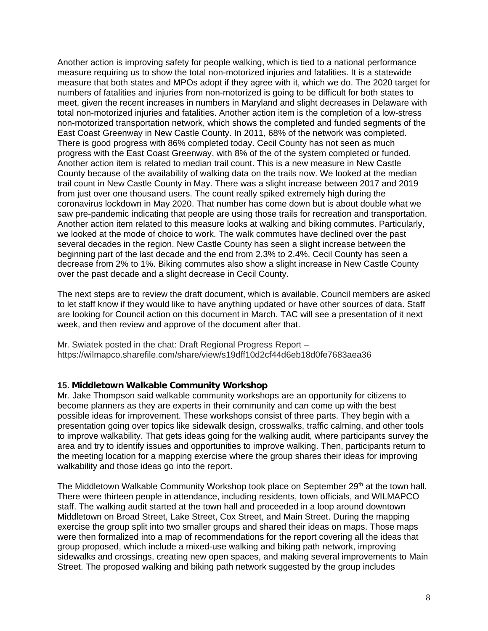Another action is improving safety for people walking, which is tied to a national performance measure requiring us to show the total non-motorized injuries and fatalities. It is a statewide measure that both states and MPOs adopt if they agree with it, which we do. The 2020 target for numbers of fatalities and injuries from non-motorized is going to be difficult for both states to meet, given the recent increases in numbers in Maryland and slight decreases in Delaware with total non-motorized injuries and fatalities. Another action item is the completion of a low-stress non-motorized transportation network, which shows the completed and funded segments of the East Coast Greenway in New Castle County. In 2011, 68% of the network was completed. There is good progress with 86% completed today. Cecil County has not seen as much progress with the East Coast Greenway, with 8% of the of the system completed or funded. Another action item is related to median trail count. This is a new measure in New Castle County because of the availability of walking data on the trails now. We looked at the median trail count in New Castle County in May. There was a slight increase between 2017 and 2019 from just over one thousand users. The count really spiked extremely high during the coronavirus lockdown in May 2020. That number has come down but is about double what we saw pre-pandemic indicating that people are using those trails for recreation and transportation. Another action item related to this measure looks at walking and biking commutes. Particularly, we looked at the mode of choice to work. The walk commutes have declined over the past several decades in the region. New Castle County has seen a slight increase between the beginning part of the last decade and the end from 2.3% to 2.4%. Cecil County has seen a decrease from 2% to 1%. Biking commutes also show a slight increase in New Castle County over the past decade and a slight decrease in Cecil County.

The next steps are to review the draft document, which is available. Council members are asked to let staff know if they would like to have anything updated or have other sources of data. Staff are looking for Council action on this document in March. TAC will see a presentation of it next week, and then review and approve of the document after that.

Mr. Swiatek posted in the chat: Draft Regional Progress Report – https://wilmapco.sharefile.com/share/view/s19dff10d2cf44d6eb18d0fe7683aea36

# **15. Middletown Walkable Community Workshop**

Mr. Jake Thompson said walkable community workshops are an opportunity for citizens to become planners as they are experts in their community and can come up with the best possible ideas for improvement. These workshops consist of three parts. They begin with a presentation going over topics like sidewalk design, crosswalks, traffic calming, and other tools to improve walkability. That gets ideas going for the walking audit, where participants survey the area and try to identify issues and opportunities to improve walking. Then, participants return to the meeting location for a mapping exercise where the group shares their ideas for improving walkability and those ideas go into the report.

The Middletown Walkable Community Workshop took place on September 29<sup>th</sup> at the town hall. There were thirteen people in attendance, including residents, town officials, and WILMAPCO staff. The walking audit started at the town hall and proceeded in a loop around downtown Middletown on Broad Street, Lake Street, Cox Street, and Main Street. During the mapping exercise the group split into two smaller groups and shared their ideas on maps. Those maps were then formalized into a map of recommendations for the report covering all the ideas that group proposed, which include a mixed-use walking and biking path network, improving sidewalks and crossings, creating new open spaces, and making several improvements to Main Street. The proposed walking and biking path network suggested by the group includes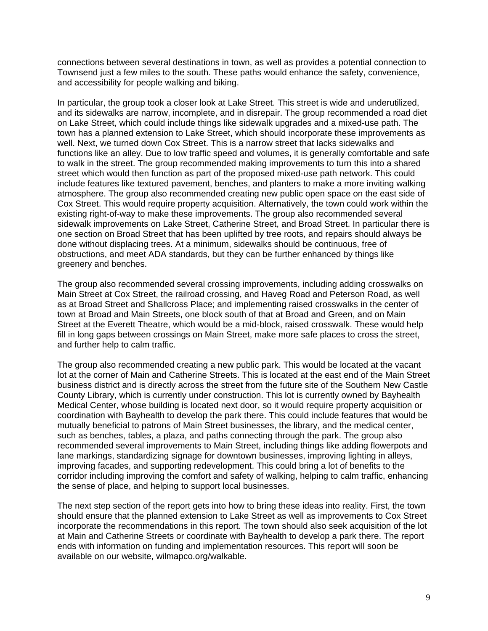connections between several destinations in town, as well as provides a potential connection to Townsend just a few miles to the south. These paths would enhance the safety, convenience, and accessibility for people walking and biking.

In particular, the group took a closer look at Lake Street. This street is wide and underutilized, and its sidewalks are narrow, incomplete, and in disrepair. The group recommended a road diet on Lake Street, which could include things like sidewalk upgrades and a mixed-use path. The town has a planned extension to Lake Street, which should incorporate these improvements as well. Next, we turned down Cox Street. This is a narrow street that lacks sidewalks and functions like an alley. Due to low traffic speed and volumes, it is generally comfortable and safe to walk in the street. The group recommended making improvements to turn this into a shared street which would then function as part of the proposed mixed-use path network. This could include features like textured pavement, benches, and planters to make a more inviting walking atmosphere. The group also recommended creating new public open space on the east side of Cox Street. This would require property acquisition. Alternatively, the town could work within the existing right-of-way to make these improvements. The group also recommended several sidewalk improvements on Lake Street, Catherine Street, and Broad Street. In particular there is one section on Broad Street that has been uplifted by tree roots, and repairs should always be done without displacing trees. At a minimum, sidewalks should be continuous, free of obstructions, and meet ADA standards, but they can be further enhanced by things like greenery and benches.

The group also recommended several crossing improvements, including adding crosswalks on Main Street at Cox Street, the railroad crossing, and Haveg Road and Peterson Road, as well as at Broad Street and Shallcross Place; and implementing raised crosswalks in the center of town at Broad and Main Streets, one block south of that at Broad and Green, and on Main Street at the Everett Theatre, which would be a mid-block, raised crosswalk. These would help fill in long gaps between crossings on Main Street, make more safe places to cross the street, and further help to calm traffic.

The group also recommended creating a new public park. This would be located at the vacant lot at the corner of Main and Catherine Streets. This is located at the east end of the Main Street business district and is directly across the street from the future site of the Southern New Castle County Library, which is currently under construction. This lot is currently owned by Bayhealth Medical Center, whose building is located next door, so it would require property acquisition or coordination with Bayhealth to develop the park there. This could include features that would be mutually beneficial to patrons of Main Street businesses, the library, and the medical center, such as benches, tables, a plaza, and paths connecting through the park. The group also recommended several improvements to Main Street, including things like adding flowerpots and lane markings, standardizing signage for downtown businesses, improving lighting in alleys, improving facades, and supporting redevelopment. This could bring a lot of benefits to the corridor including improving the comfort and safety of walking, helping to calm traffic, enhancing the sense of place, and helping to support local businesses.

The next step section of the report gets into how to bring these ideas into reality. First, the town should ensure that the planned extension to Lake Street as well as improvements to Cox Street incorporate the recommendations in this report. The town should also seek acquisition of the lot at Main and Catherine Streets or coordinate with Bayhealth to develop a park there. The report ends with information on funding and implementation resources. This report will soon be available on our website, wilmapco.org/walkable.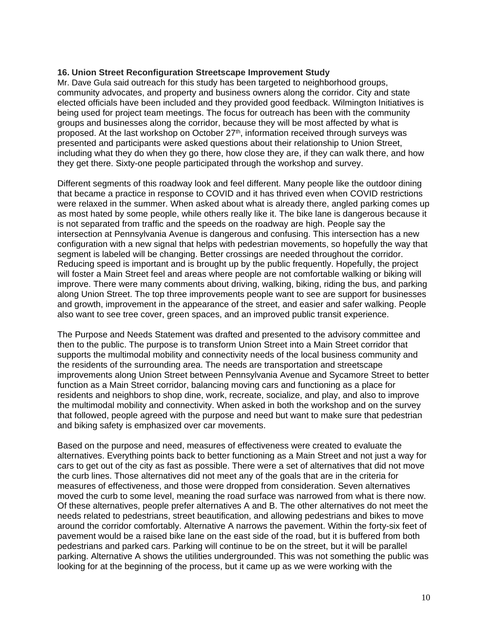# **16. Union Street Reconfiguration Streetscape Improvement Study**

Mr. Dave Gula said outreach for this study has been targeted to neighborhood groups, community advocates, and property and business owners along the corridor. City and state elected officials have been included and they provided good feedback. Wilmington Initiatives is being used for project team meetings. The focus for outreach has been with the community groups and businesses along the corridor, because they will be most affected by what is proposed. At the last workshop on October 27<sup>th</sup>, information received through surveys was presented and participants were asked questions about their relationship to Union Street, including what they do when they go there, how close they are, if they can walk there, and how they get there. Sixty-one people participated through the workshop and survey.

Different segments of this roadway look and feel different. Many people like the outdoor dining that became a practice in response to COVID and it has thrived even when COVID restrictions were relaxed in the summer. When asked about what is already there, angled parking comes up as most hated by some people, while others really like it. The bike lane is dangerous because it is not separated from traffic and the speeds on the roadway are high. People say the intersection at Pennsylvania Avenue is dangerous and confusing. This intersection has a new configuration with a new signal that helps with pedestrian movements, so hopefully the way that segment is labeled will be changing. Better crossings are needed throughout the corridor. Reducing speed is important and is brought up by the public frequently. Hopefully, the project will foster a Main Street feel and areas where people are not comfortable walking or biking will improve. There were many comments about driving, walking, biking, riding the bus, and parking along Union Street. The top three improvements people want to see are support for businesses and growth, improvement in the appearance of the street, and easier and safer walking. People also want to see tree cover, green spaces, and an improved public transit experience.

The Purpose and Needs Statement was drafted and presented to the advisory committee and then to the public. The purpose is to transform Union Street into a Main Street corridor that supports the multimodal mobility and connectivity needs of the local business community and the residents of the surrounding area. The needs are transportation and streetscape improvements along Union Street between Pennsylvania Avenue and Sycamore Street to better function as a Main Street corridor, balancing moving cars and functioning as a place for residents and neighbors to shop dine, work, recreate, socialize, and play, and also to improve the multimodal mobility and connectivity. When asked in both the workshop and on the survey that followed, people agreed with the purpose and need but want to make sure that pedestrian and biking safety is emphasized over car movements.

Based on the purpose and need, measures of effectiveness were created to evaluate the alternatives. Everything points back to better functioning as a Main Street and not just a way for cars to get out of the city as fast as possible. There were a set of alternatives that did not move the curb lines. Those alternatives did not meet any of the goals that are in the criteria for measures of effectiveness, and those were dropped from consideration. Seven alternatives moved the curb to some level, meaning the road surface was narrowed from what is there now. Of these alternatives, people prefer alternatives A and B. The other alternatives do not meet the needs related to pedestrians, street beautification, and allowing pedestrians and bikes to move around the corridor comfortably. Alternative A narrows the pavement. Within the forty-six feet of pavement would be a raised bike lane on the east side of the road, but it is buffered from both pedestrians and parked cars. Parking will continue to be on the street, but it will be parallel parking. Alternative A shows the utilities undergrounded. This was not something the public was looking for at the beginning of the process, but it came up as we were working with the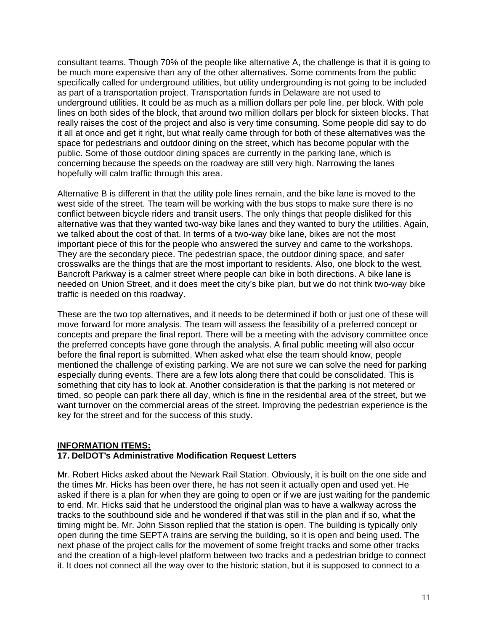consultant teams. Though 70% of the people like alternative A, the challenge is that it is going to be much more expensive than any of the other alternatives. Some comments from the public specifically called for underground utilities, but utility undergrounding is not going to be included as part of a transportation project. Transportation funds in Delaware are not used to underground utilities. It could be as much as a million dollars per pole line, per block. With pole lines on both sides of the block, that around two million dollars per block for sixteen blocks. That really raises the cost of the project and also is very time consuming. Some people did say to do it all at once and get it right, but what really came through for both of these alternatives was the space for pedestrians and outdoor dining on the street, which has become popular with the public. Some of those outdoor dining spaces are currently in the parking lane, which is concerning because the speeds on the roadway are still very high. Narrowing the lanes hopefully will calm traffic through this area.

Alternative B is different in that the utility pole lines remain, and the bike lane is moved to the west side of the street. The team will be working with the bus stops to make sure there is no conflict between bicycle riders and transit users. The only things that people disliked for this alternative was that they wanted two-way bike lanes and they wanted to bury the utilities. Again, we talked about the cost of that. In terms of a two-way bike lane, bikes are not the most important piece of this for the people who answered the survey and came to the workshops. They are the secondary piece. The pedestrian space, the outdoor dining space, and safer crosswalks are the things that are the most important to residents. Also, one block to the west, Bancroft Parkway is a calmer street where people can bike in both directions. A bike lane is needed on Union Street, and it does meet the city's bike plan, but we do not think two-way bike traffic is needed on this roadway.

These are the two top alternatives, and it needs to be determined if both or just one of these will move forward for more analysis. The team will assess the feasibility of a preferred concept or concepts and prepare the final report. There will be a meeting with the advisory committee once the preferred concepts have gone through the analysis. A final public meeting will also occur before the final report is submitted. When asked what else the team should know, people mentioned the challenge of existing parking. We are not sure we can solve the need for parking especially during events. There are a few lots along there that could be consolidated. This is something that city has to look at. Another consideration is that the parking is not metered or timed, so people can park there all day, which is fine in the residential area of the street, but we want turnover on the commercial areas of the street. Improving the pedestrian experience is the key for the street and for the success of this study.

### **INFORMATION ITEMS:**

# **17. DelDOT's Administrative Modification Request Letters**

Mr. Robert Hicks asked about the Newark Rail Station. Obviously, it is built on the one side and the times Mr. Hicks has been over there, he has not seen it actually open and used yet. He asked if there is a plan for when they are going to open or if we are just waiting for the pandemic to end. Mr. Hicks said that he understood the original plan was to have a walkway across the tracks to the southbound side and he wondered if that was still in the plan and if so, what the timing might be. Mr. John Sisson replied that the station is open. The building is typically only open during the time SEPTA trains are serving the building, so it is open and being used. The next phase of the project calls for the movement of some freight tracks and some other tracks and the creation of a high-level platform between two tracks and a pedestrian bridge to connect it. It does not connect all the way over to the historic station, but it is supposed to connect to a